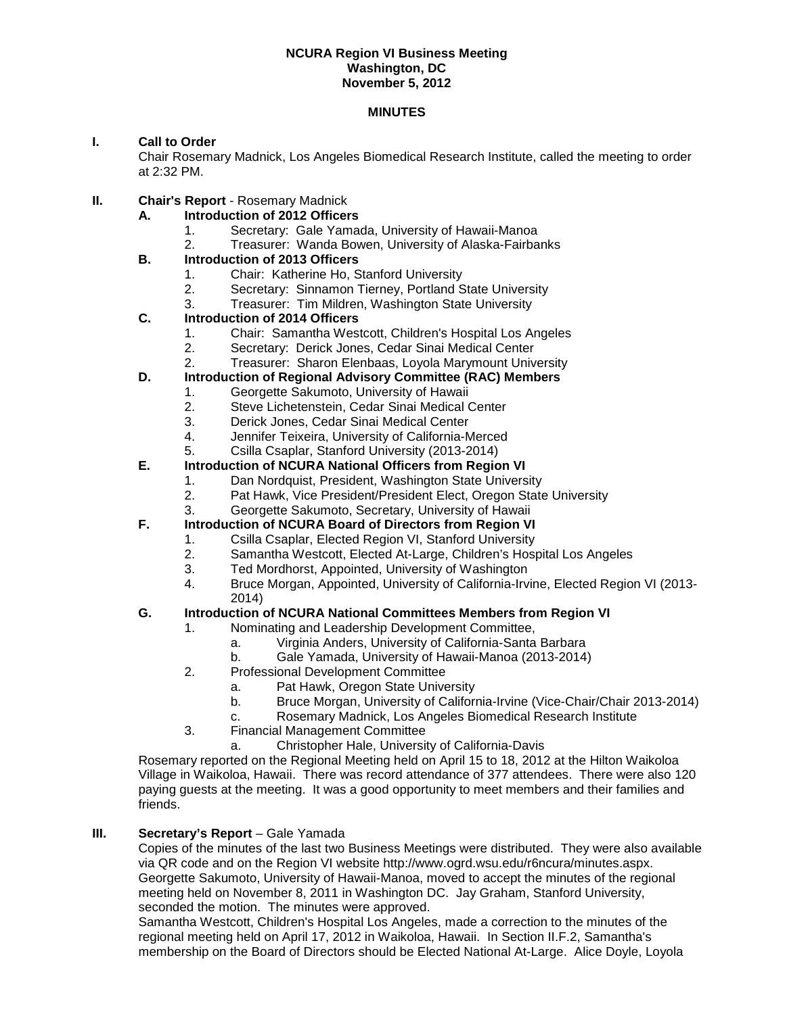#### **NCURA Region VI Business Meeting Washington, DC November 5, 2012**

#### **MINUTES**

# **I. Call to Order**

Chair Rosemary Madnick, Los Angeles Biomedical Research Institute, called the meeting to order at 2:32 PM.

- **II. Chair's Report Rosemary Madnick** 
	- **A. Introduction of 2012 Officers** 
		- 1. Secretary: Gale Yamada, University of Hawaii-Manoa
		- 2. Treasurer: Wanda Bowen, University of Alaska-Fairbanks

# **B. Introduction of 2013 Officers**

- 1. Chair: Katherine Ho, Stanford University<br>2. Secretary: Sinnamon Tierney, Portland S
- 2. Secretary: Sinnamon Tierney, Portland State University<br>3. Treasurer: Tim Mildren. Washington State University
- Treasurer: Tim Mildren, Washington State University

## **C. Introduction of 2014 Officers**

- 1. Chair: Samantha Westcott, Children's Hospital Los Angeles
- 2. Secretary: Derick Jones, Cedar Sinai Medical Center
- 2. Treasurer: Sharon Elenbaas, Loyola Marymount University

## **D. Introduction of Regional Advisory Committee (RAC) Members**

- 1. Georgette Sakumoto, University of Hawaii<br>2. Steve Lichetenstein. Cedar Sinai Medical C
	- 2. Steve Lichetenstein, Cedar Sinai Medical Center<br>3. Derick Jones. Cedar Sinai Medical Center
	- 3. Derick Jones, Cedar Sinai Medical Center<br>4. Jennifer Teixeira. University of California-N
	- 4. Jennifer Teixeira, University of California-Merced<br>5. Csilla Csaplar. Stanford University (2013-2014)
	- 5. Csilla Csaplar, Stanford University (2013-2014)

## **E. Introduction of NCURA National Officers from Region VI**

- 1. Dan Nordquist, President, Washington State University<br>2. Pat Hawk. Vice President/President Elect. Oregon State
- Pat Hawk, Vice President/President Elect, Oregon State University
- 3. Georgette Sakumoto, Secretary, University of Hawaii
- **F. Introduction of NCURA Board of Directors from Region VI**
	- 1. Csilla Csaplar, Elected Region VI, Stanford University
	- 2. Samantha Westcott, Elected At-Large, Children's Hospital Los Angeles
	- Ted Mordhorst, Appointed, University of Washington
	- 4. Bruce Morgan, Appointed, University of California-Irvine, Elected Region VI (2013- 2014)

## **G. Introduction of NCURA National Committees Members from Region VI**

- 1. Nominating and Leadership Development Committee,
	-
	- a. Virginia Anders, University of California-Santa Barbara b. Gale Yamada, University of Hawaii-Manoa (2013-2014)
- 2. Professional Development Committee
	- a. Pat Hawk, Oregon State University
	- b. Bruce Morgan, University of California-Irvine (Vice-Chair/Chair 2013-2014)
	- c. Rosemary Madnick, Los Angeles Biomedical Research Institute
- 3. Financial Management Committee
	- a. Christopher Hale, University of California-Davis

Rosemary reported on the Regional Meeting held on April 15 to 18, 2012 at the Hilton Waikoloa Village in Waikoloa, Hawaii. There was record attendance of 377 attendees. There were also 120 paying guests at the meeting. It was a good opportunity to meet members and their families and friends.

#### **III. Secretary's Report** – Gale Yamada

 Copies of the minutes of the last two Business Meetings were distributed. They were also available via QR code and on the Region VI website http://www.ogrd.wsu.edu/r6ncura/minutes.aspx. Georgette Sakumoto, University of Hawaii-Manoa, moved to accept the minutes of the regional meeting held on November 8, 2011 in Washington DC. Jay Graham, Stanford University, seconded the motion. The minutes were approved.

Samantha Westcott, Children's Hospital Los Angeles, made a correction to the minutes of the regional meeting held on April 17, 2012 in Waikoloa, Hawaii. In Section II.F.2, Samantha's membership on the Board of Directors should be Elected National At-Large. Alice Doyle, Loyola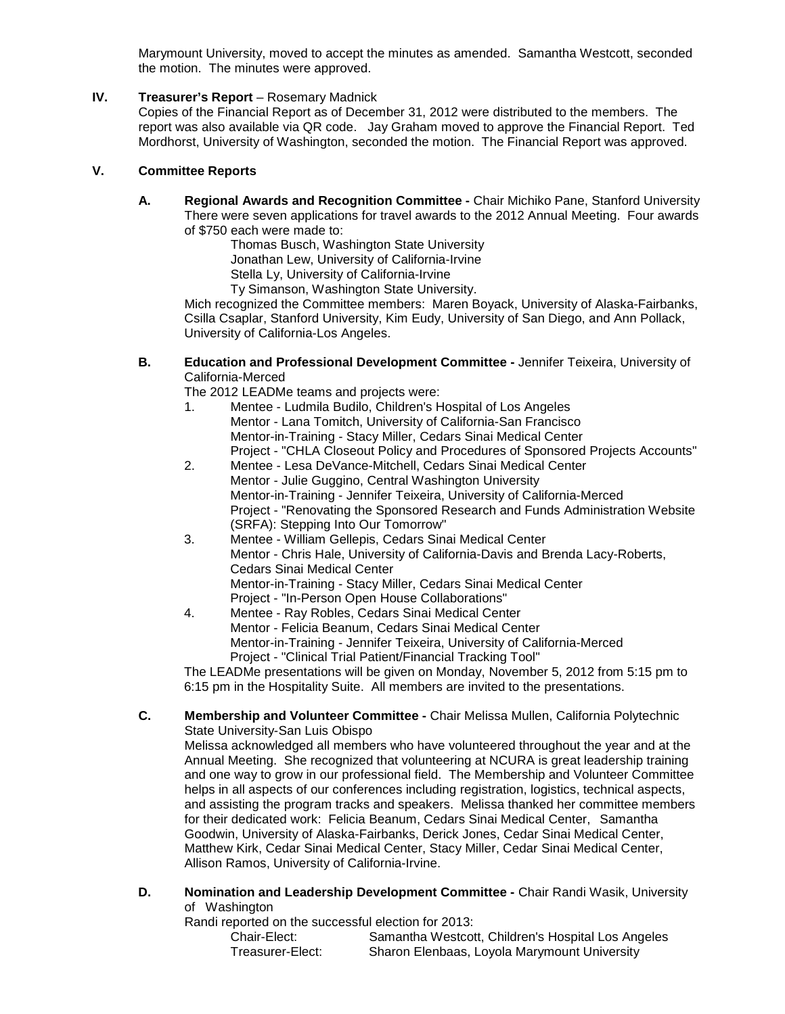Marymount University, moved to accept the minutes as amended. Samantha Westcott, seconded the motion. The minutes were approved.

# **IV. Treasurer's Report** – Rosemary Madnick

Copies of the Financial Report as of December 31, 2012 were distributed to the members. The report was also available via QR code. Jay Graham moved to approve the Financial Report. Ted Mordhorst, University of Washington, seconded the motion. The Financial Report was approved.

# **V. Committee Reports**

**A. Regional Awards and Recognition Committee -** Chair Michiko Pane, Stanford University There were seven applications for travel awards to the 2012 Annual Meeting. Four awards of \$750 each were made to:

Thomas Busch, Washington State University Jonathan Lew, University of California-Irvine Stella Ly, University of California-Irvine

Ty Simanson, Washington State University.

Mich recognized the Committee members: Maren Boyack, University of Alaska-Fairbanks, Csilla Csaplar, Stanford University, Kim Eudy, University of San Diego, and Ann Pollack, University of California-Los Angeles.

**B. Education and Professional Development Committee -** Jennifer Teixeira, University of California-Merced

The 2012 LEADMe teams and projects were:

- 1. Mentee Ludmila Budilo, Children's Hospital of Los Angeles Mentor - Lana Tomitch, University of California-San Francisco Mentor-in-Training - Stacy Miller, Cedars Sinai Medical Center Project - "CHLA Closeout Policy and Procedures of Sponsored Projects Accounts"
- 2. Mentee Lesa DeVance-Mitchell, Cedars Sinai Medical Center Mentor - Julie Guggino, Central Washington University Mentor-in-Training - Jennifer Teixeira, University of California-Merced Project - "Renovating the Sponsored Research and Funds Administration Website (SRFA): Stepping Into Our Tomorrow"
- 3. Mentee William Gellepis, Cedars Sinai Medical Center Mentor - Chris Hale, University of California-Davis and Brenda Lacy-Roberts, Cedars Sinai Medical Center Mentor-in-Training - Stacy Miller, Cedars Sinai Medical Center Project - "In-Person Open House Collaborations"
- Mentee Ray Robles, Cedars Sinai Medical Center Mentor - Felicia Beanum, Cedars Sinai Medical Center Mentor-in-Training - Jennifer Teixeira, University of California-Merced Project - "Clinical Trial Patient/Financial Tracking Tool"

The LEADMe presentations will be given on Monday, November 5, 2012 from 5:15 pm to 6:15 pm in the Hospitality Suite. All members are invited to the presentations.

# **C. Membership and Volunteer Committee -** Chair Melissa Mullen, California Polytechnic State University-San Luis Obispo

Melissa acknowledged all members who have volunteered throughout the year and at the Annual Meeting. She recognized that volunteering at NCURA is great leadership training and one way to grow in our professional field. The Membership and Volunteer Committee helps in all aspects of our conferences including registration, logistics, technical aspects, and assisting the program tracks and speakers. Melissa thanked her committee members for their dedicated work: Felicia Beanum, Cedars Sinai Medical Center, Samantha Goodwin, University of Alaska-Fairbanks, Derick Jones, Cedar Sinai Medical Center, Matthew Kirk, Cedar Sinai Medical Center, Stacy Miller, Cedar Sinai Medical Center, Allison Ramos, University of California-Irvine.

**D. Nomination and Leadership Development Committee -** Chair Randi Wasik, University of Washington

Randi reported on the successful election for 2013:<br>Chair-Elect: Samantha Westcot

| portoa on tho oaooooorar olootion for Eo for |                                                    |
|----------------------------------------------|----------------------------------------------------|
| Chair-Elect:                                 | Samantha Westcott, Children's Hospital Los Angeles |
| Treasurer-Elect:                             | Sharon Elenbaas, Loyola Marymount University       |